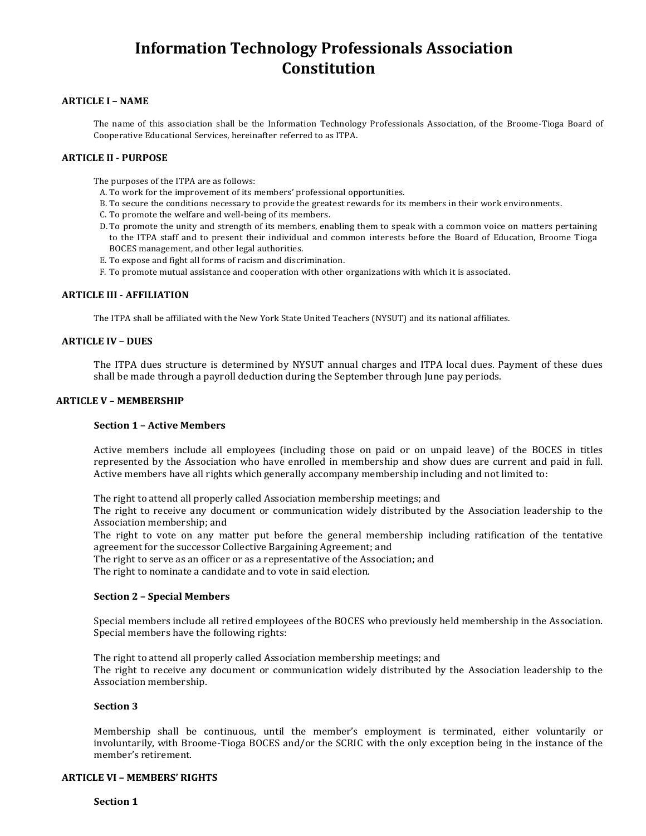# **ARTICLE I – NAME**

The name of this association shall be the Information Technology Professionals Association, of the Broome-Tioga Board of Cooperative Educational Services, hereinafter referred to as ITPA.

# **ARTICLE II - PURPOSE**

The purposes of the ITPA are as follows:

- A. To work for the improvement of its members' professional opportunities.
- B. To secure the conditions necessary to provide the greatest rewards for its members in their work environments.
- C. To promote the welfare and well-being of its members.
- D. To promote the unity and strength of its members, enabling them to speak with a common voice on matters pertaining to the ITPA staff and to present their individual and common interests before the Board of Education, Broome Tioga BOCES management, and other legal authorities.
- E. To expose and fight all forms of racism and discrimination.
- F. To promote mutual assistance and cooperation with other organizations with which it is associated.

# **ARTICLE III - AFFILIATION**

The ITPA shall be affiliated with the New York State United Teachers (NYSUT) and its national affiliates.

## **ARTICLE IV – DUES**

The ITPA dues structure is determined by NYSUT annual charges and ITPA local dues. Payment of these dues shall be made through a payroll deduction during the September through June pay periods.

# **ARTICLE V – MEMBERSHIP**

#### **Section 1 – Active Members**

Active members include all employees (including those on paid or on unpaid leave) of the BOCES in titles represented by the Association who have enrolled in membership and show dues are current and paid in full. Active members have all rights which generally accompany membership including and not limited to:

The right to attend all properly called Association membership meetings; and

The right to receive any document or communication widely distributed by the Association leadership to the Association membership; and

The right to vote on any matter put before the general membership including ratification of the tentative agreement for the successor Collective Bargaining Agreement; and

The right to serve as an officer or as a representative of the Association; and

The right to nominate a candidate and to vote in said election.

#### **Section 2 – Special Members**

Special members include all retired employees of the BOCES who previously held membership in the Association. Special members have the following rights:

The right to attend all properly called Association membership meetings; and The right to receive any document or communication widely distributed by the Association leadership to the Association membership.

# **Section 3**

Membership shall be continuous, until the member's employment is terminated, either voluntarily or involuntarily, with Broome-Tioga BOCES and/or the SCRIC with the only exception being in the instance of the member's retirement.

# **ARTICLE VI – MEMBERS' RIGHTS**

**Section 1**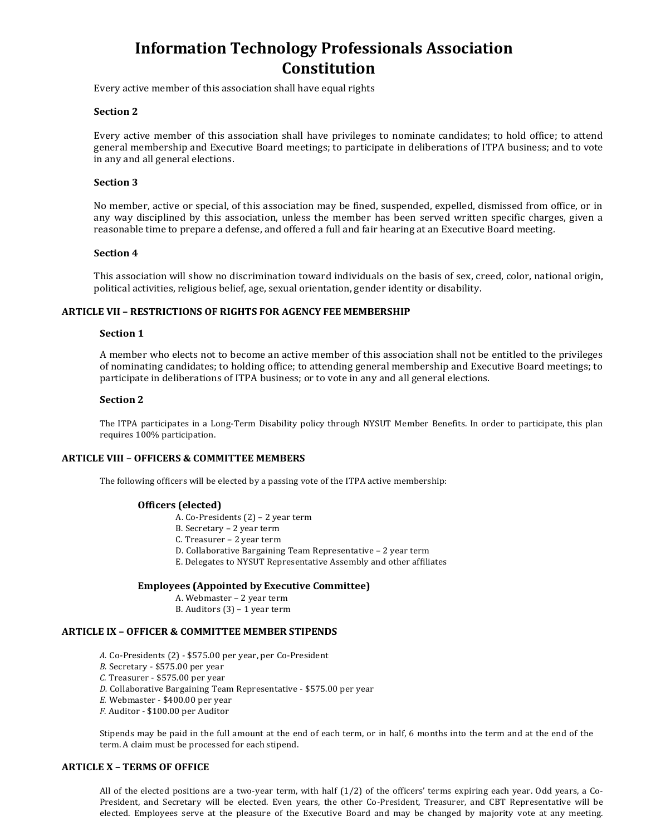Every active member of this association shall have equal rights

## **Section 2**

Every active member of this association shall have privileges to nominate candidates; to hold office; to attend general membership and Executive Board meetings; to participate in deliberations of ITPA business; and to vote in any and all general elections.

## **Section 3**

No member, active or special, of this association may be fined, suspended, expelled, dismissed from office, or in any way disciplined by this association, unless the member has been served written specific charges, given a reasonable time to prepare a defense, and offered a full and fair hearing at an Executive Board meeting.

## **Section 4**

This association will show no discrimination toward individuals on the basis of sex, creed, color, national origin, political activities, religious belief, age, sexual orientation, gender identity or disability.

## **ARTICLE VII – RESTRICTIONS OF RIGHTS FOR AGENCY FEE MEMBERSHIP**

## **Section 1**

A member who elects not to become an active member of this association shall not be entitled to the privileges of nominating candidates; to holding office; to attending general membership and Executive Board meetings; to participate in deliberations of ITPA business; or to vote in any and all general elections.

## **Section 2**

The ITPA participates in a Long-Term Disability policy through NYSUT Member Benefits. In order to participate, this plan requires 100% participation.

# **ARTICLE VIII – OFFICERS & COMMITTEE MEMBERS**

The following officers will be elected by a passing vote of the ITPA active membership:

#### **Officers (elected)**

- A. Co-Presidents (2) 2 year term
- B. Secretary 2 year term
- C. Treasurer 2 year term
- D. Collaborative Bargaining Team Representative 2 year term
- E. Delegates to NYSUT Representative Assembly and other affiliates

#### **Employees (Appointed by Executive Committee)**

- A. Webmaster 2 year term
- B. Auditors (3) 1 year term

#### **ARTICLE IX – OFFICER & COMMITTEE MEMBER STIPENDS**

- *A.* Co-Presidents (2) \$575.00 per year, per Co-President
- *B.* Secretary \$575.00 per year
- *C.* Treasurer \$575.00 per year
- *D.* Collaborative Bargaining Team Representative \$575.00 per year
- *E.* Webmaster \$400.00 per year
- *F.* Auditor \$100.00 per Auditor

Stipends may be paid in the full amount at the end of each term, or in half, 6 months into the term and at the end of the term. A claim must be processed for each stipend.

# **ARTICLE X – TERMS OF OFFICE**

All of the elected positions are a two-year term, with half (1/2) of the officers' terms expiring each year. Odd years, a Co-President, and Secretary will be elected. Even years, the other Co-President, Treasurer, and CBT Representative will be elected. Employees serve at the pleasure of the Executive Board and may be changed by majority vote at any meeting.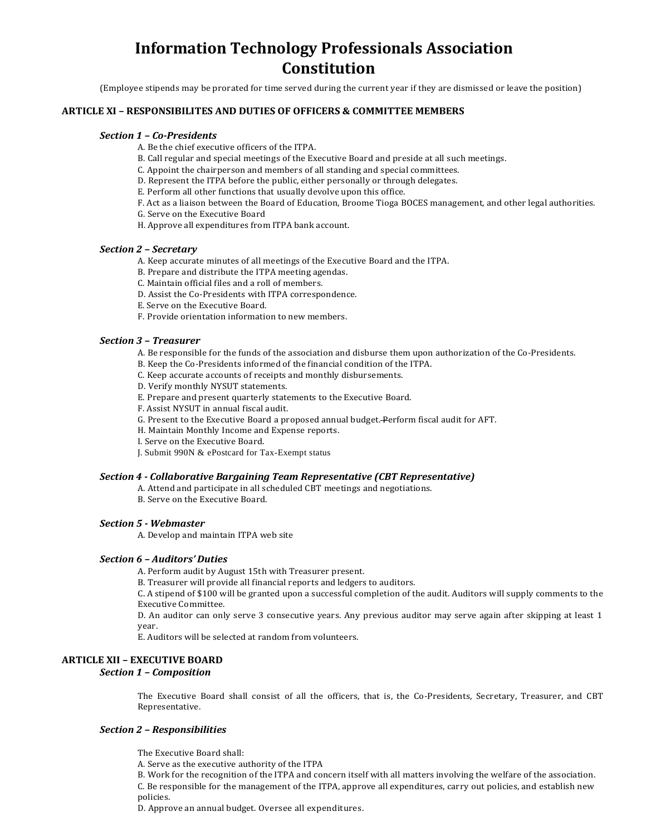(Employee stipends may be prorated for time served during the current year if they are dismissed or leave the position)

# **ARTICLE XI – RESPONSIBILITES AND DUTIES OF OFFICERS & COMMITTEE MEMBERS**

### *Section 1 – Co-Presidents*

- A. Be the chief executive officers of the ITPA.
- B. Call regular and special meetings of the Executive Board and preside at all such meetings.
- C. Appoint the chairperson and members of all standing and special committees.
- D. Represent the ITPA before the public, either personally or through delegates.
- E. Perform all other functions that usually devolve upon this office.
- F. Act as a liaison between the Board of Education, Broome Tioga BOCES management, and other legal authorities.
- G. Serve on the Executive Board
- H. Approve all expenditures from ITPA bank account.

#### *Section 2 – Secretary*

- A. Keep accurate minutes of all meetings of the Executive Board and the ITPA.
- B. Prepare and distribute the ITPA meeting agendas.
- C. Maintain official files and a roll of members.
- D. Assist the Co-Presidents with ITPA correspondence.
- E. Serve on the Executive Board.
- F. Provide orientation information to new members.

#### *Section 3 – Treasurer*

A. Be responsible for the funds of the association and disburse them upon authorization of the Co-Presidents.

- B. Keep the Co-Presidents informed of the financial condition of the ITPA.
- C. Keep accurate accounts of receipts and monthly disbursements.
- D. Verify monthly NYSUT statements.
- E. Prepare and present quarterly statements to the Executive Board.
- F. Assist NYSUT in annual fiscal audit.
- G. Present to the Executive Board a proposed annual budget. Perform fiscal audit for AFT.
- H. Maintain Monthly Income and Expense reports.
- I. Serve on the Executive Board.
- J. Submit 990N & ePostcard for Tax-Exempt status

## *Section 4 - Collaborative Bargaining Team Representative (CBT Representative)*

- A. Attend and participate in all scheduled CBT meetings and negotiations.
- B. Serve on the Executive Board.

#### *Section 5 - Webmaster*

A. Develop and maintain ITPA web site

#### *Section 6 – Auditors' Duties*

A. Perform audit by August 15th with Treasurer present.

B. Treasurer will provide all financial reports and ledgers to auditors.

C. A stipend of \$100 will be granted upon a successful completion of the audit. Auditors will supply comments to the Executive Committee.

D. An auditor can only serve 3 consecutive years. Any previous auditor may serve again after skipping at least 1 year.

E. Auditors will be selected at random from volunteers.

#### **ARTICLE XII – EXECUTIVE BOARD**

# *Section 1 – Composition*

The Executive Board shall consist of all the officers, that is, the Co-Presidents, Secretary, Treasurer, and CBT Representative.

## *Section 2 – Responsibilities*

The Executive Board shall:

A. Serve as the executive authority of the ITPA

B. Work for the recognition of the ITPA and concern itself with all matters involving the welfare of the association. C. Be responsible for the management of the ITPA, approve all expenditures, carry out policies, and establish new policies.

D. Approve an annual budget. Oversee all expenditures.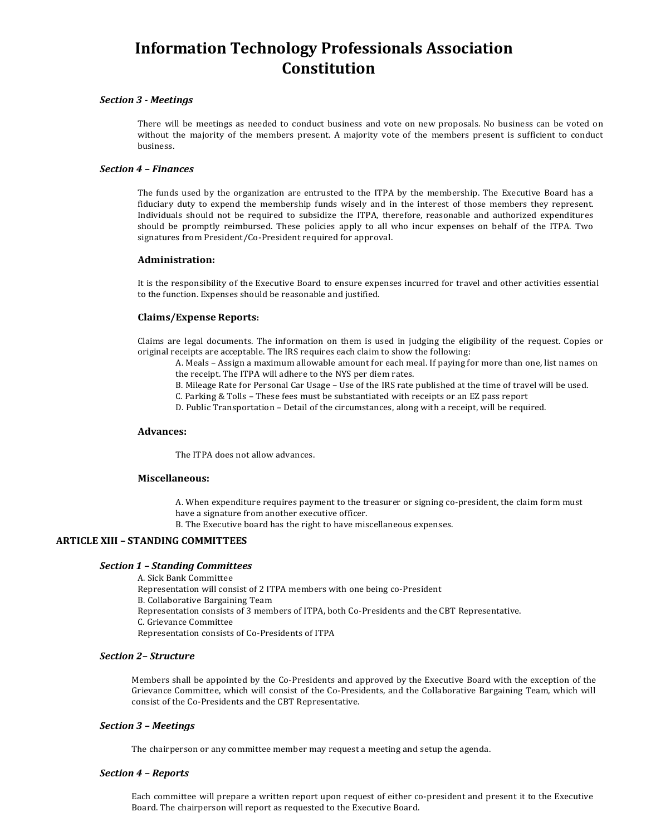## *Section 3 - Meetings*

There will be meetings as needed to conduct business and vote on new proposals. No business can be voted on without the majority of the members present. A majority vote of the members present is sufficient to conduct business.

#### *Section 4 – Finances*

The funds used by the organization are entrusted to the ITPA by the membership. The Executive Board has a fiduciary duty to expend the membership funds wisely and in the interest of those members they represent. Individuals should not be required to subsidize the ITPA, therefore, reasonable and authorized expenditures should be promptly reimbursed. These policies apply to all who incur expenses on behalf of the ITPA. Two signatures from President/Co-President required for approval.

#### **Administration:**

It is the responsibility of the Executive Board to ensure expenses incurred for travel and other activities essential to the function. Expenses should be reasonable and justified.

## **Claims/Expense Reports:**

Claims are legal documents. The information on them is used in judging the eligibility of the request. Copies or original receipts are acceptable. The IRS requires each claim to show the following:

A. Meals – Assign a maximum allowable amount for each meal. If paying for more than one, list names on the receipt. The ITPA will adhere to the NYS per diem rates.

- B. Mileage Rate for Personal Car Usage Use of the IRS rate published at the time of travel will be used.
- C. Parking & Tolls These fees must be substantiated with receipts or an EZ pass report
- D. Public Transportation Detail of the circumstances, along with a receipt, will be required.

#### **Advances:**

The ITPA does not allow advances.

## **Miscellaneous:**

A. When expenditure requires payment to the treasurer or signing co-president, the claim form must have a signature from another executive officer.

B. The Executive board has the right to have miscellaneous expenses.

# **ARTICLE XIII – STANDING COMMITTEES**

## *Section 1 – Standing Committees*

A. Sick Bank Committee Representation will consist of 2 ITPA members with one being co-President B. Collaborative Bargaining Team Representation consists of 3 members of ITPA, both Co-Presidents and the CBT Representative. C. Grievance Committee Representation consists of Co-Presidents of ITPA

# *Section 2– Structure*

Members shall be appointed by the Co-Presidents and approved by the Executive Board with the exception of the Grievance Committee, which will consist of the Co-Presidents, and the Collaborative Bargaining Team, which will consist of the Co-Presidents and the CBT Representative.

#### *Section 3 – Meetings*

The chairperson or any committee member may request a meeting and setup the agenda.

#### *Section 4 – Reports*

Each committee will prepare a written report upon request of either co-president and present it to the Executive Board. The chairperson will report as requested to the Executive Board.